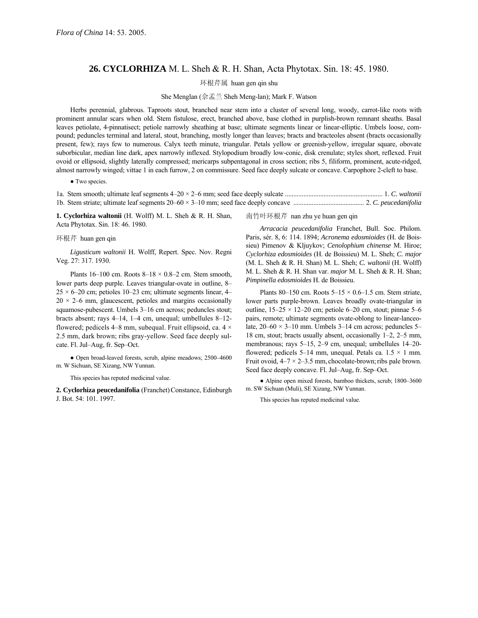## **26. CYCLORHIZA** M. L. Sheh & R. H. Shan, Acta Phytotax. Sin. 18: 45. 1980.

环根芹属 huan gen qin shu

She Menglan (佘孟兰 Sheh Meng-lan); Mark F. Watson

Herbs perennial, glabrous. Taproots stout, branched near stem into a cluster of several long, woody, carrot-like roots with prominent annular scars when old. Stem fistulose, erect, branched above, base clothed in purplish-brown remnant sheaths. Basal leaves petiolate, 4-pinnatisect; petiole narrowly sheathing at base; ultimate segments linear or linear-elliptic. Umbels loose, compound; peduncles terminal and lateral, stout, branching, mostly longer than leaves; bracts and bracteoles absent (bracts occasionally present, few); rays few to numerous. Calyx teeth minute, triangular. Petals yellow or greenish-yellow, irregular square, obovate suborbicular, median line dark, apex narrowly inflexed. Stylopodium broadly low-conic, disk crenulate; styles short, reflexed. Fruit ovoid or ellipsoid, slightly laterally compressed; mericarps subpentagonal in cross section; ribs 5, filiform, prominent, acute-ridged, almost narrowly winged; vittae 1 in each furrow, 2 on commissure. Seed face deeply sulcate or concave. Carpophore 2-cleft to base.

• Two species.

1a. Stem smooth; ultimate leaf segments 4ñ20 × 2ñ6 mm; seed face deeply sulcate .......................................................... 1. *C. waltonii* 1b. Stem striate; ultimate leaf segments 20ñ60 × 3ñ10 mm; seed face deeply concave .......................................... 2. *C. peucedanifolia*

**1. Cyclorhiza waltonii** (H. Wolff) M. L. Sheh & R. H. Shan, Acta Phytotax. Sin. 18: 46. 1980.

## 环根芹 huan gen qin

*Ligusticum waltonii* H. Wolff, Repert. Spec. Nov. Regni Veg. 27: 317. 1930.

Plants 16-100 cm. Roots  $8-18 \times 0.8-2$  cm. Stem smooth, lower parts deep purple. Leaves triangular-ovate in outline, 8- $25 \times 6$ -20 cm; petioles 10-23 cm; ultimate segments linear, 4- $20 \times 2-6$  mm, glaucescent, petioles and margins occasionally squamose-pubescent. Umbels 3-16 cm across; peduncles stout; bracts absent; rays  $4-14$ ,  $1-4$  cm, unequal; umbellules  $8-12$ flowered; pedicels 4–8 mm, subequal. Fruit ellipsoid, ca.  $4 \times$ 2.5 mm, dark brown; ribs gray-yellow. Seed face deeply sulcate. Fl. Jul–Aug, fr. Sep–Oct.

 $\bullet$  Open broad-leaved forests, scrub, alpine meadows; 2500–4600 m. W Sichuan, SE Xizang, NW Yunnan.

This species has reputed medicinal value.

2. Cyclorhiza peucedanifolia (Franchet) Constance, Edinburgh J. Bot. 54: 101. 1997.

## 南竹叶环根芹 nan zhu ye huan gen qin

*Arracacia peucedanifolia* Franchet, Bull. Soc. Philom. Paris, sÈr. 8, 6: 114. 1894; *Acronema edosmioides* (H. de Boissieu) Pimenov & Kljuykov; *Cenolophium chinense* M. Hiroe; *Cyclorhiza edosmioides* (H. de Boissieu) M. L. Sheh; *C. major* (M. L. Sheh & R. H. Shan) M. L. Sheh; *C. waltonii* (H. Wolff) M. L. Sheh & R. H. Shan var. *major* M. L. Sheh & R. H. Shan; *Pimpinella edosmioides* H. de Boissieu.

Plants 80–150 cm. Roots  $5-15 \times 0.6$ –1.5 cm. Stem striate, lower parts purple-brown. Leaves broadly ovate-triangular in outline,  $15-25 \times 12-20$  cm; petiole 6-20 cm, stout; pinnae 5-6 pairs, remote; ultimate segments ovate-oblong to linear-lanceolate,  $20-60 \times 3-10$  mm. Umbels 3-14 cm across; peduncles 5-18 cm, stout; bracts usually absent, occasionally  $1-2$ ,  $2-5$  mm, membranous; rays  $5-15$ ,  $2-9$  cm, unequal; umbellules  $14-20$ flowered; pedicels 5–14 mm, unequal. Petals ca.  $1.5 \times 1$  mm. Fruit ovoid,  $4-7 \times 2-3.5$  mm, chocolate-brown; ribs pale brown. Seed face deeply concave. Fl. Jul–Aug, fr. Sep–Oct.

• Alpine open mixed forests, bamboo thickets, scrub; 1800-3600 m. SW Sichuan (Muli), SE Xizang, NW Yunnan.

This species has reputed medicinal value.